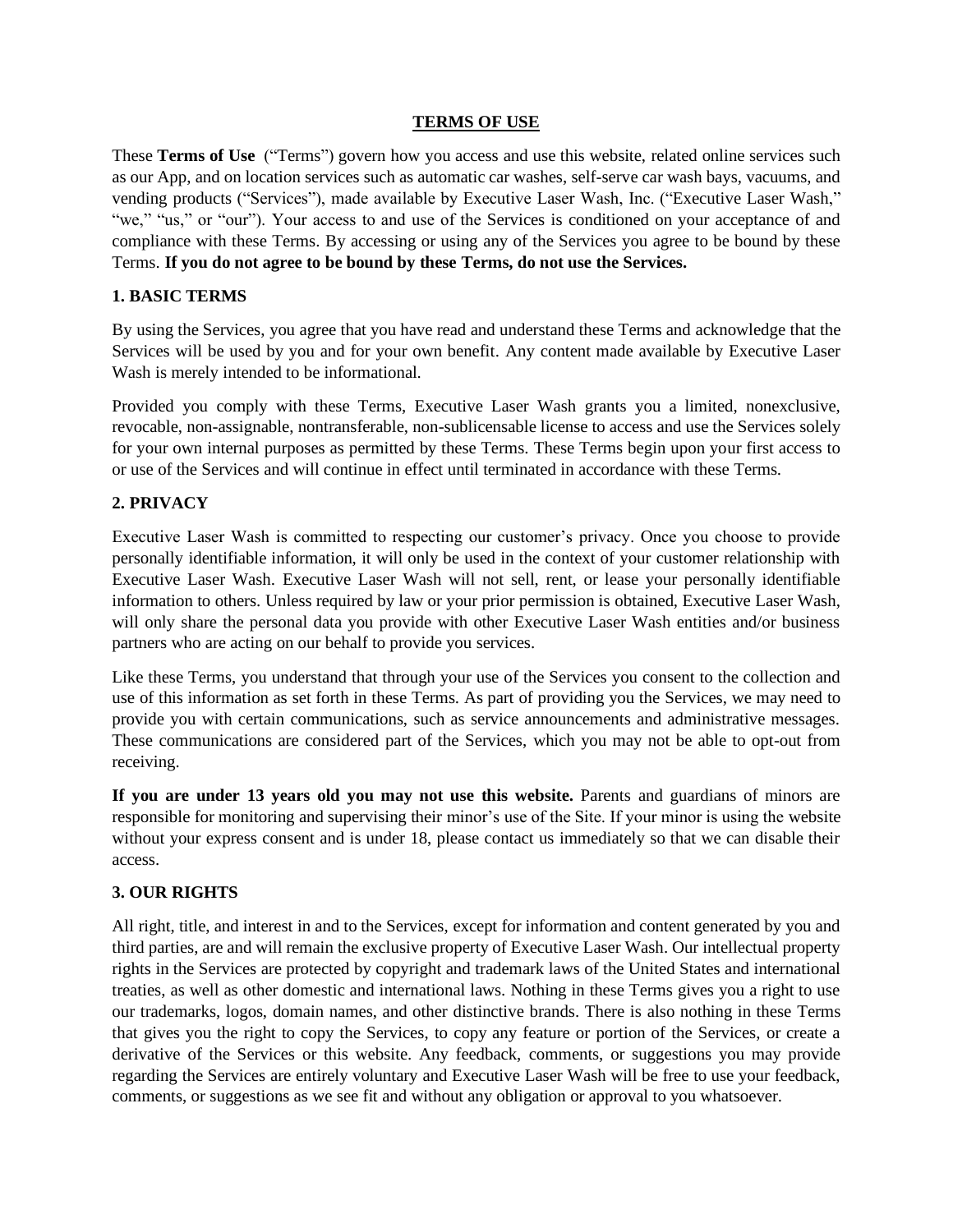#### **TERMS OF USE**

These **Terms of Use** ("Terms") govern how you access and use this website, related online services such as our App, and on location services such as automatic car washes, self-serve car wash bays, vacuums, and vending products ("Services"), made available by Executive Laser Wash, Inc. ("Executive Laser Wash," "we," "us," or "our"). Your access to and use of the Services is conditioned on your acceptance of and compliance with these Terms. By accessing or using any of the Services you agree to be bound by these Terms. **If you do not agree to be bound by these Terms, do not use the Services.**

## **1. BASIC TERMS**

By using the Services, you agree that you have read and understand these Terms and acknowledge that the Services will be used by you and for your own benefit. Any content made available by Executive Laser Wash is merely intended to be informational.

Provided you comply with these Terms, Executive Laser Wash grants you a limited, nonexclusive, revocable, non-assignable, nontransferable, non-sublicensable license to access and use the Services solely for your own internal purposes as permitted by these Terms. These Terms begin upon your first access to or use of the Services and will continue in effect until terminated in accordance with these Terms.

## **2. PRIVACY**

Executive Laser Wash is committed to respecting our customer's privacy. Once you choose to provide personally identifiable information, it will only be used in the context of your customer relationship with Executive Laser Wash. Executive Laser Wash will not sell, rent, or lease your personally identifiable information to others. Unless required by law or your prior permission is obtained, Executive Laser Wash, will only share the personal data you provide with other Executive Laser Wash entities and/or business partners who are acting on our behalf to provide you services.

Like these Terms, you understand that through your use of the Services you consent to the collection and use of this information as set forth in these Terms. As part of providing you the Services, we may need to provide you with certain communications, such as service announcements and administrative messages. These communications are considered part of the Services, which you may not be able to opt-out from receiving.

**If you are under 13 years old you may not use this website.** Parents and guardians of minors are responsible for monitoring and supervising their minor's use of the Site. If your minor is using the website without your express consent and is under 18, please contact us immediately so that we can disable their access.

### **3. OUR RIGHTS**

All right, title, and interest in and to the Services, except for information and content generated by you and third parties, are and will remain the exclusive property of Executive Laser Wash. Our intellectual property rights in the Services are protected by copyright and trademark laws of the United States and international treaties, as well as other domestic and international laws. Nothing in these Terms gives you a right to use our trademarks, logos, domain names, and other distinctive brands. There is also nothing in these Terms that gives you the right to copy the Services, to copy any feature or portion of the Services, or create a derivative of the Services or this website. Any feedback, comments, or suggestions you may provide regarding the Services are entirely voluntary and Executive Laser Wash will be free to use your feedback, comments, or suggestions as we see fit and without any obligation or approval to you whatsoever.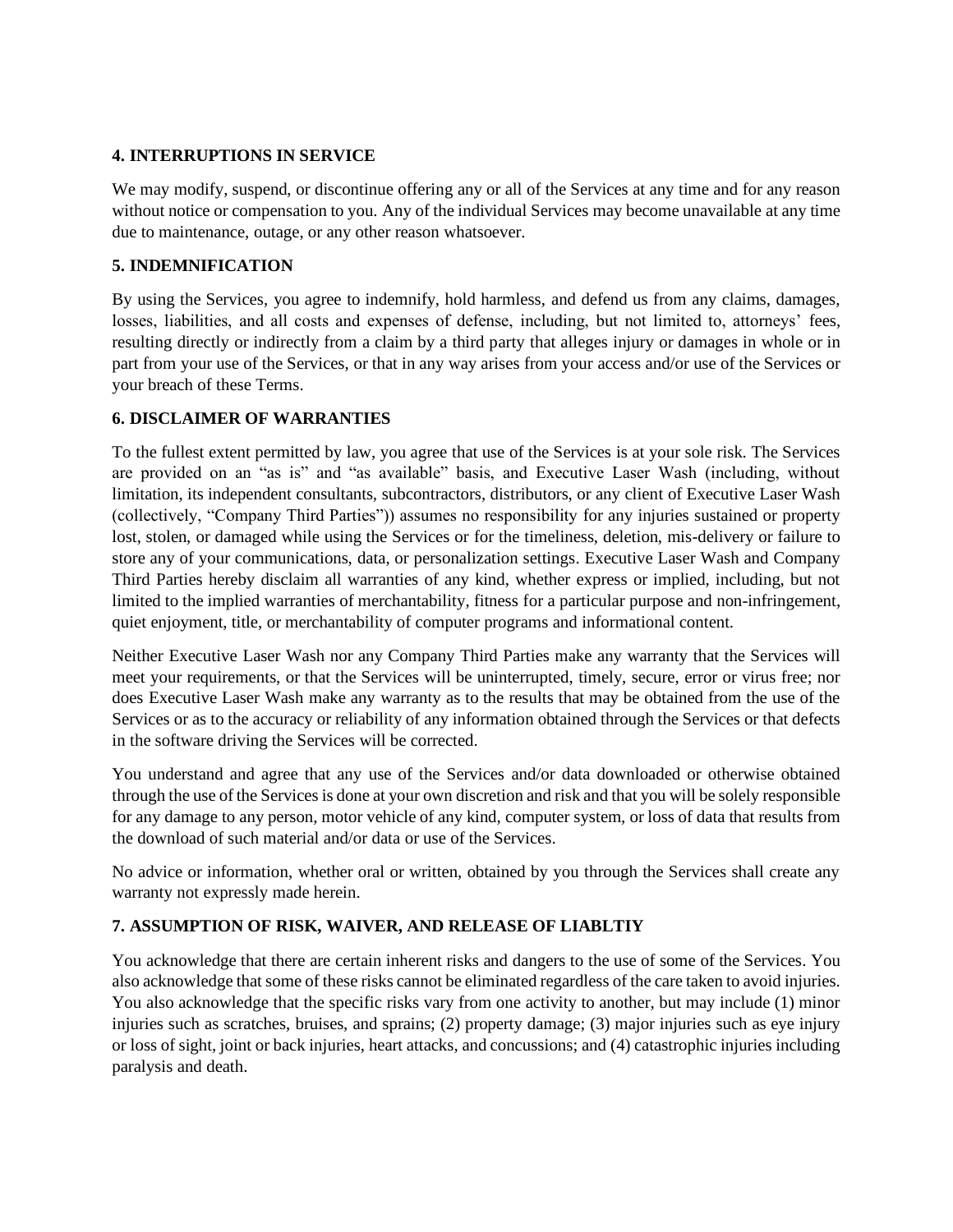### **4. INTERRUPTIONS IN SERVICE**

We may modify, suspend, or discontinue offering any or all of the Services at any time and for any reason without notice or compensation to you. Any of the individual Services may become unavailable at any time due to maintenance, outage, or any other reason whatsoever.

# **5. INDEMNIFICATION**

By using the Services, you agree to indemnify, hold harmless, and defend us from any claims, damages, losses, liabilities, and all costs and expenses of defense, including, but not limited to, attorneys' fees, resulting directly or indirectly from a claim by a third party that alleges injury or damages in whole or in part from your use of the Services, or that in any way arises from your access and/or use of the Services or your breach of these Terms.

# **6. DISCLAIMER OF WARRANTIES**

To the fullest extent permitted by law, you agree that use of the Services is at your sole risk. The Services are provided on an "as is" and "as available" basis, and Executive Laser Wash (including, without limitation, its independent consultants, subcontractors, distributors, or any client of Executive Laser Wash (collectively, "Company Third Parties")) assumes no responsibility for any injuries sustained or property lost, stolen, or damaged while using the Services or for the timeliness, deletion, mis-delivery or failure to store any of your communications, data, or personalization settings. Executive Laser Wash and Company Third Parties hereby disclaim all warranties of any kind, whether express or implied, including, but not limited to the implied warranties of merchantability, fitness for a particular purpose and non-infringement, quiet enjoyment, title, or merchantability of computer programs and informational content.

Neither Executive Laser Wash nor any Company Third Parties make any warranty that the Services will meet your requirements, or that the Services will be uninterrupted, timely, secure, error or virus free; nor does Executive Laser Wash make any warranty as to the results that may be obtained from the use of the Services or as to the accuracy or reliability of any information obtained through the Services or that defects in the software driving the Services will be corrected.

You understand and agree that any use of the Services and/or data downloaded or otherwise obtained through the use of the Services is done at your own discretion and risk and that you will be solely responsible for any damage to any person, motor vehicle of any kind, computer system, or loss of data that results from the download of such material and/or data or use of the Services.

No advice or information, whether oral or written, obtained by you through the Services shall create any warranty not expressly made herein.

# **7. ASSUMPTION OF RISK, WAIVER, AND RELEASE OF LIABLTIY**

You acknowledge that there are certain inherent risks and dangers to the use of some of the Services. You also acknowledge that some of these risks cannot be eliminated regardless of the care taken to avoid injuries. You also acknowledge that the specific risks vary from one activity to another, but may include (1) minor injuries such as scratches, bruises, and sprains; (2) property damage; (3) major injuries such as eye injury or loss of sight, joint or back injuries, heart attacks, and concussions; and (4) catastrophic injuries including paralysis and death.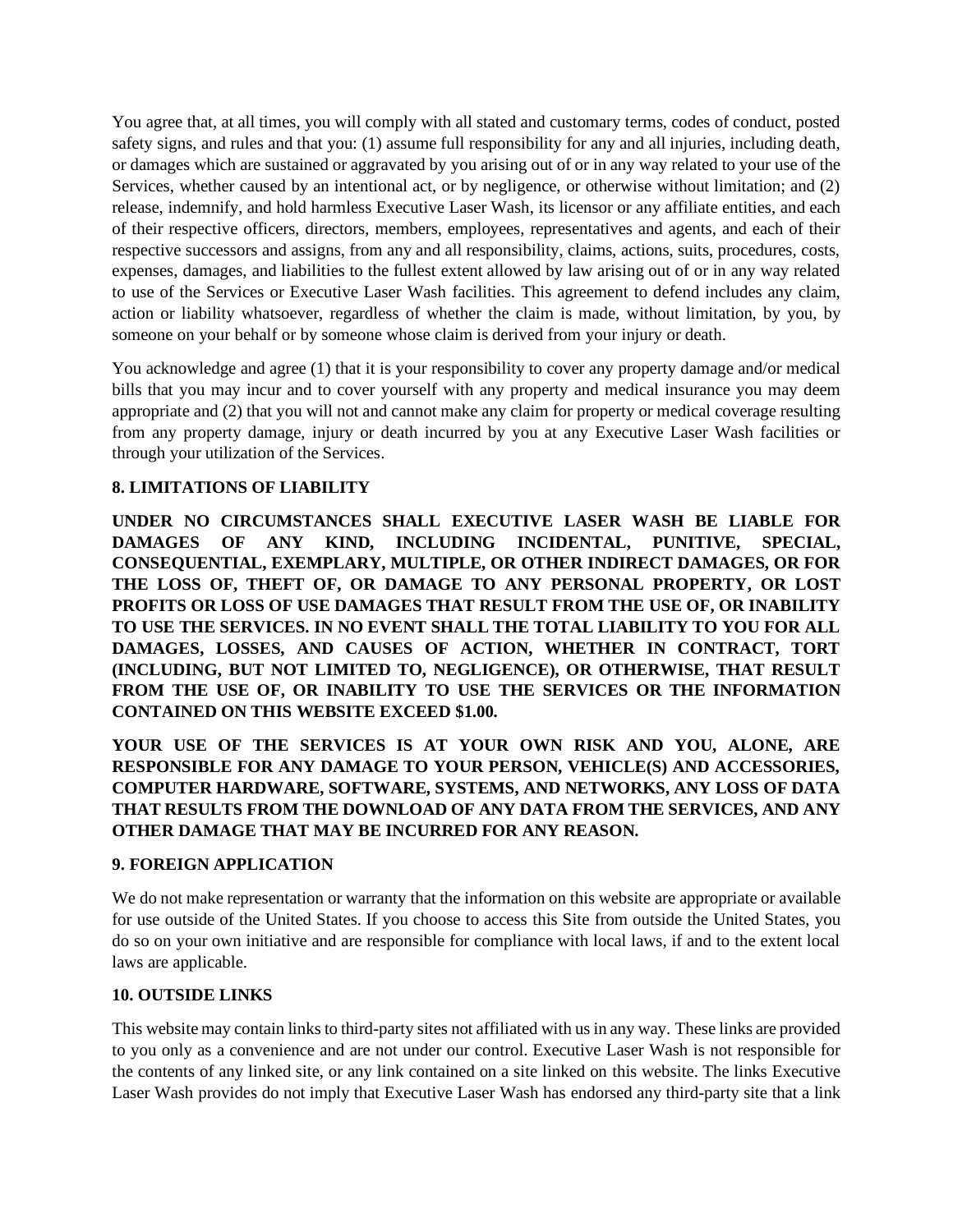You agree that, at all times, you will comply with all stated and customary terms, codes of conduct, posted safety signs, and rules and that you: (1) assume full responsibility for any and all injuries, including death, or damages which are sustained or aggravated by you arising out of or in any way related to your use of the Services, whether caused by an intentional act, or by negligence, or otherwise without limitation; and (2) release, indemnify, and hold harmless Executive Laser Wash, its licensor or any affiliate entities, and each of their respective officers, directors, members, employees, representatives and agents, and each of their respective successors and assigns, from any and all responsibility, claims, actions, suits, procedures, costs, expenses, damages, and liabilities to the fullest extent allowed by law arising out of or in any way related to use of the Services or Executive Laser Wash facilities. This agreement to defend includes any claim, action or liability whatsoever, regardless of whether the claim is made, without limitation, by you, by someone on your behalf or by someone whose claim is derived from your injury or death.

You acknowledge and agree (1) that it is your responsibility to cover any property damage and/or medical bills that you may incur and to cover yourself with any property and medical insurance you may deem appropriate and (2) that you will not and cannot make any claim for property or medical coverage resulting from any property damage, injury or death incurred by you at any Executive Laser Wash facilities or through your utilization of the Services.

# **8. LIMITATIONS OF LIABILITY**

**UNDER NO CIRCUMSTANCES SHALL EXECUTIVE LASER WASH BE LIABLE FOR DAMAGES OF ANY KIND, INCLUDING INCIDENTAL, PUNITIVE, SPECIAL, CONSEQUENTIAL, EXEMPLARY, MULTIPLE, OR OTHER INDIRECT DAMAGES, OR FOR THE LOSS OF, THEFT OF, OR DAMAGE TO ANY PERSONAL PROPERTY, OR LOST PROFITS OR LOSS OF USE DAMAGES THAT RESULT FROM THE USE OF, OR INABILITY TO USE THE SERVICES. IN NO EVENT SHALL THE TOTAL LIABILITY TO YOU FOR ALL DAMAGES, LOSSES, AND CAUSES OF ACTION, WHETHER IN CONTRACT, TORT (INCLUDING, BUT NOT LIMITED TO, NEGLIGENCE), OR OTHERWISE, THAT RESULT FROM THE USE OF, OR INABILITY TO USE THE SERVICES OR THE INFORMATION CONTAINED ON THIS WEBSITE EXCEED \$1.00.**

**YOUR USE OF THE SERVICES IS AT YOUR OWN RISK AND YOU, ALONE, ARE RESPONSIBLE FOR ANY DAMAGE TO YOUR PERSON, VEHICLE(S) AND ACCESSORIES, COMPUTER HARDWARE, SOFTWARE, SYSTEMS, AND NETWORKS, ANY LOSS OF DATA THAT RESULTS FROM THE DOWNLOAD OF ANY DATA FROM THE SERVICES, AND ANY OTHER DAMAGE THAT MAY BE INCURRED FOR ANY REASON.**

### **9. FOREIGN APPLICATION**

We do not make representation or warranty that the information on this website are appropriate or available for use outside of the United States. If you choose to access this Site from outside the United States, you do so on your own initiative and are responsible for compliance with local laws, if and to the extent local laws are applicable.

#### **10. OUTSIDE LINKS**

This website may contain links to third-party sites not affiliated with us in any way. These links are provided to you only as a convenience and are not under our control. Executive Laser Wash is not responsible for the contents of any linked site, or any link contained on a site linked on this website. The links Executive Laser Wash provides do not imply that Executive Laser Wash has endorsed any third-party site that a link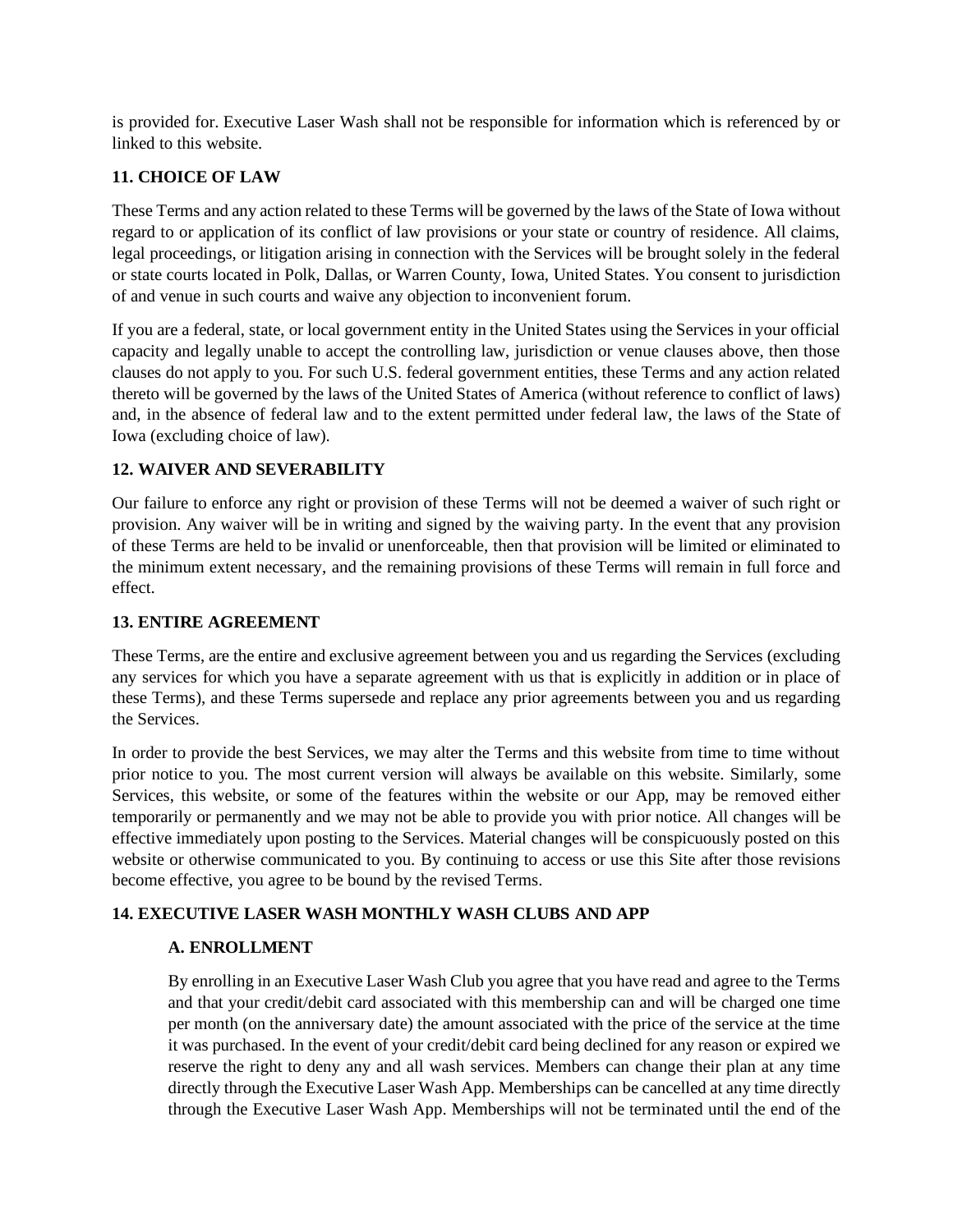is provided for. Executive Laser Wash shall not be responsible for information which is referenced by or linked to this website.

## **11. CHOICE OF LAW**

These Terms and any action related to these Terms will be governed by the laws of the State of Iowa without regard to or application of its conflict of law provisions or your state or country of residence. All claims, legal proceedings, or litigation arising in connection with the Services will be brought solely in the federal or state courts located in Polk, Dallas, or Warren County, Iowa, United States. You consent to jurisdiction of and venue in such courts and waive any objection to inconvenient forum.

If you are a federal, state, or local government entity in the United States using the Services in your official capacity and legally unable to accept the controlling law, jurisdiction or venue clauses above, then those clauses do not apply to you. For such U.S. federal government entities, these Terms and any action related thereto will be governed by the laws of the United States of America (without reference to conflict of laws) and, in the absence of federal law and to the extent permitted under federal law, the laws of the State of Iowa (excluding choice of law).

## **12. WAIVER AND SEVERABILITY**

Our failure to enforce any right or provision of these Terms will not be deemed a waiver of such right or provision. Any waiver will be in writing and signed by the waiving party. In the event that any provision of these Terms are held to be invalid or unenforceable, then that provision will be limited or eliminated to the minimum extent necessary, and the remaining provisions of these Terms will remain in full force and effect.

### **13. ENTIRE AGREEMENT**

These Terms, are the entire and exclusive agreement between you and us regarding the Services (excluding any services for which you have a separate agreement with us that is explicitly in addition or in place of these Terms), and these Terms supersede and replace any prior agreements between you and us regarding the Services.

In order to provide the best Services, we may alter the Terms and this website from time to time without prior notice to you. The most current version will always be available on this website. Similarly, some Services, this website, or some of the features within the website or our App, may be removed either temporarily or permanently and we may not be able to provide you with prior notice. All changes will be effective immediately upon posting to the Services. Material changes will be conspicuously posted on this website or otherwise communicated to you. By continuing to access or use this Site after those revisions become effective, you agree to be bound by the revised Terms.

# **14. EXECUTIVE LASER WASH MONTHLY WASH CLUBS AND APP**

### **A. ENROLLMENT**

By enrolling in an Executive Laser Wash Club you agree that you have read and agree to the Terms and that your credit/debit card associated with this membership can and will be charged one time per month (on the anniversary date) the amount associated with the price of the service at the time it was purchased. In the event of your credit/debit card being declined for any reason or expired we reserve the right to deny any and all wash services. Members can change their plan at any time directly through the Executive Laser Wash App. Memberships can be cancelled at any time directly through the Executive Laser Wash App. Memberships will not be terminated until the end of the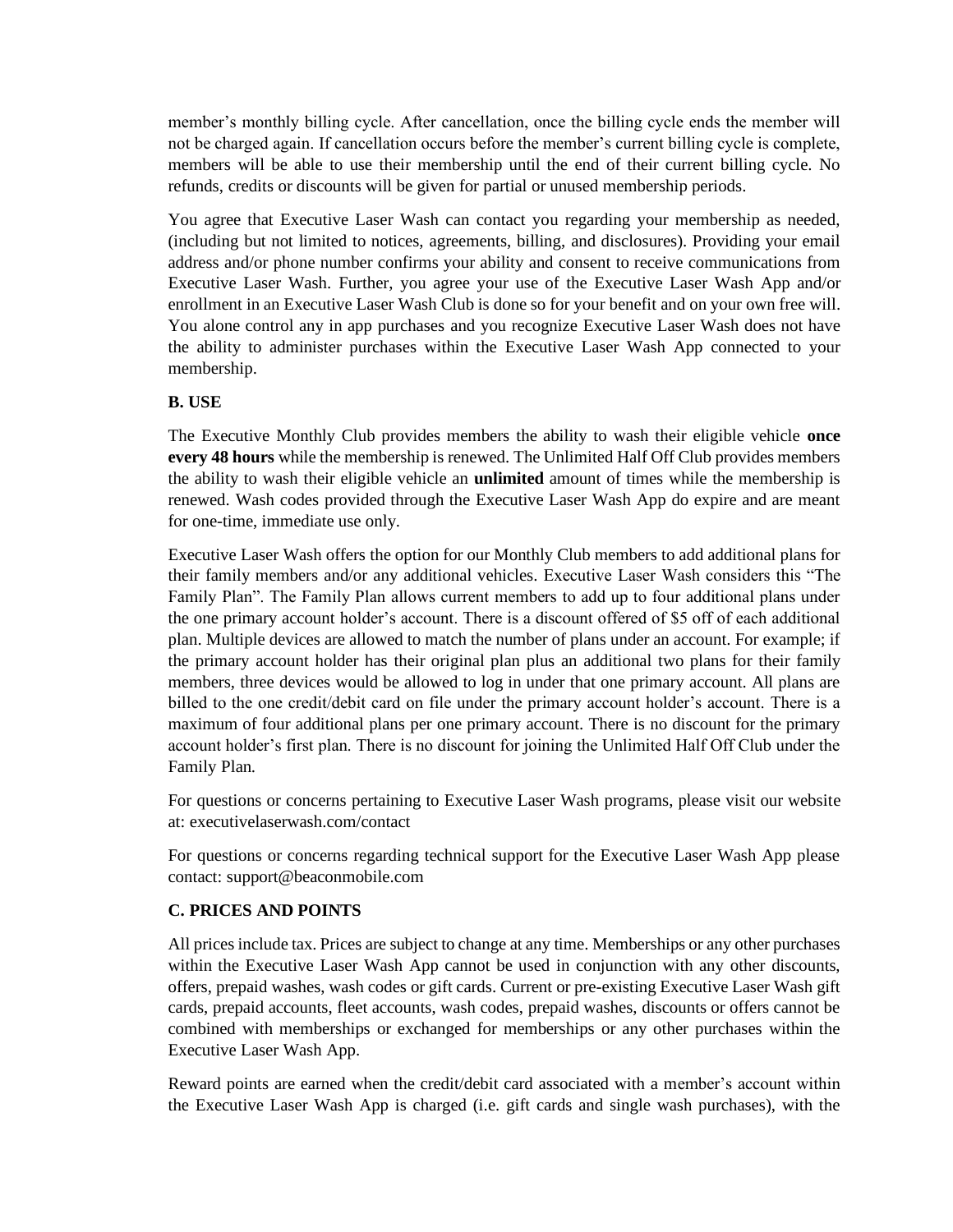member's monthly billing cycle. After cancellation, once the billing cycle ends the member will not be charged again. If cancellation occurs before the member's current billing cycle is complete, members will be able to use their membership until the end of their current billing cycle. No refunds, credits or discounts will be given for partial or unused membership periods.

You agree that Executive Laser Wash can contact you regarding your membership as needed, (including but not limited to notices, agreements, billing, and disclosures). Providing your email address and/or phone number confirms your ability and consent to receive communications from Executive Laser Wash. Further, you agree your use of the Executive Laser Wash App and/or enrollment in an Executive Laser Wash Club is done so for your benefit and on your own free will. You alone control any in app purchases and you recognize Executive Laser Wash does not have the ability to administer purchases within the Executive Laser Wash App connected to your membership.

# **B. USE**

The Executive Monthly Club provides members the ability to wash their eligible vehicle **once every 48 hours** while the membership is renewed. The Unlimited Half Off Club provides members the ability to wash their eligible vehicle an **unlimited** amount of times while the membership is renewed. Wash codes provided through the Executive Laser Wash App do expire and are meant for one-time, immediate use only.

Executive Laser Wash offers the option for our Monthly Club members to add additional plans for their family members and/or any additional vehicles. Executive Laser Wash considers this "The Family Plan". The Family Plan allows current members to add up to four additional plans under the one primary account holder's account. There is a discount offered of \$5 off of each additional plan. Multiple devices are allowed to match the number of plans under an account. For example; if the primary account holder has their original plan plus an additional two plans for their family members, three devices would be allowed to log in under that one primary account. All plans are billed to the one credit/debit card on file under the primary account holder's account. There is a maximum of four additional plans per one primary account. There is no discount for the primary account holder's first plan. There is no discount for joining the Unlimited Half Off Club under the Family Plan.

For questions or concerns pertaining to Executive Laser Wash programs, please visit our website at: executivelaserwash.com/contact

For questions or concerns regarding technical support for the Executive Laser Wash App please contact: support@beaconmobile.com

### **C. PRICES AND POINTS**

All prices include tax. Prices are subject to change at any time. Memberships or any other purchases within the Executive Laser Wash App cannot be used in conjunction with any other discounts, offers, prepaid washes, wash codes or gift cards. Current or pre-existing Executive Laser Wash gift cards, prepaid accounts, fleet accounts, wash codes, prepaid washes, discounts or offers cannot be combined with memberships or exchanged for memberships or any other purchases within the Executive Laser Wash App.

Reward points are earned when the credit/debit card associated with a member's account within the Executive Laser Wash App is charged (i.e. gift cards and single wash purchases), with the